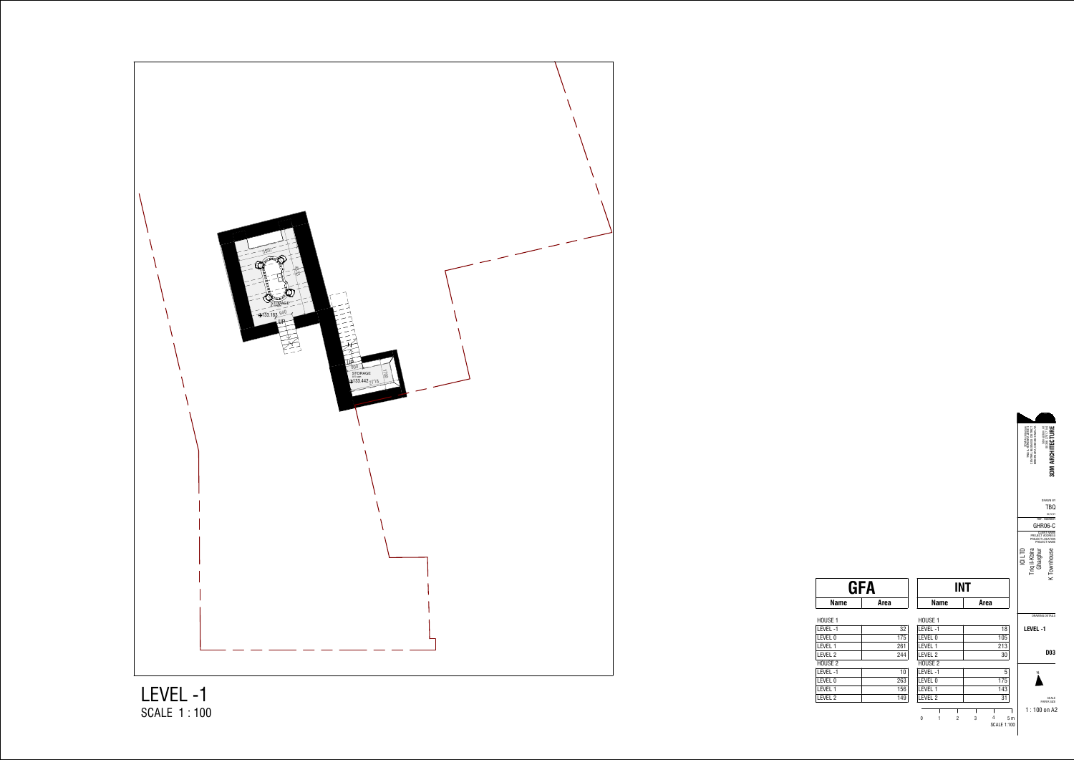0

3DM Architecture TRIQ IL-FURNARA ZONE 4 CENTRAL BUSINESS DISTRICT BIRKIRKARA, CBD4040 MALTA 3dm@3dm.mt 00356 2701 7144 **3DM ARCHITECTURE** DRAWN BY TBQ 04/12/21 REF . NUMBER GHR06-C CLIENT NAME PROJECT ADDRESS PROJECT LOCATION PROJECT NAME ICI LTD Triq il-Kbira Gharghur K Townhouse  $\overline{K}$ DRAWING DETAILS **LEVEL -1D03**NSCALE PAPER SIZE 1 : 100 on A2<sup>1</sup> <sup>2</sup> <sup>3</sup> <sup>4</sup> 5 m SCALE 1:100



SCALE 1 : 100LEVEL -1

| HOUSE 1  |     | HOUSE 1            |     |
|----------|-----|--------------------|-----|
| Level -1 | 32  | LEVEL-1            | 18  |
| level 0  | 175 | LEVEL 0            | 105 |
| level 1  | 261 | LEVEL 1            | 213 |
| level 2  | 244 | LEVEL 2            | 30  |
| HOUSE 2  |     | HOUSE <sub>2</sub> |     |
| Level -1 | 10  | LEVEL-1            | 5   |
| LEVEL 0  | 263 | LEVEL 0            | 175 |
| level 1  | 156 | LEVEL 1            | 143 |
| level 2  | 149 | LEVEL 2            | 31  |
|          |     |                    |     |

| <b>GFA</b>   |             |    | <b>INT</b>  |             |
|--------------|-------------|----|-------------|-------------|
| <b>Name</b>  | <b>Area</b> |    | <b>Name</b> | <b>Area</b> |
| JUSE 1       |             |    | HOUSE 1     |             |
|              |             |    |             |             |
| <b>VEL-1</b> |             | 32 | LEVEL-1     | 18          |
|              |             |    |             |             |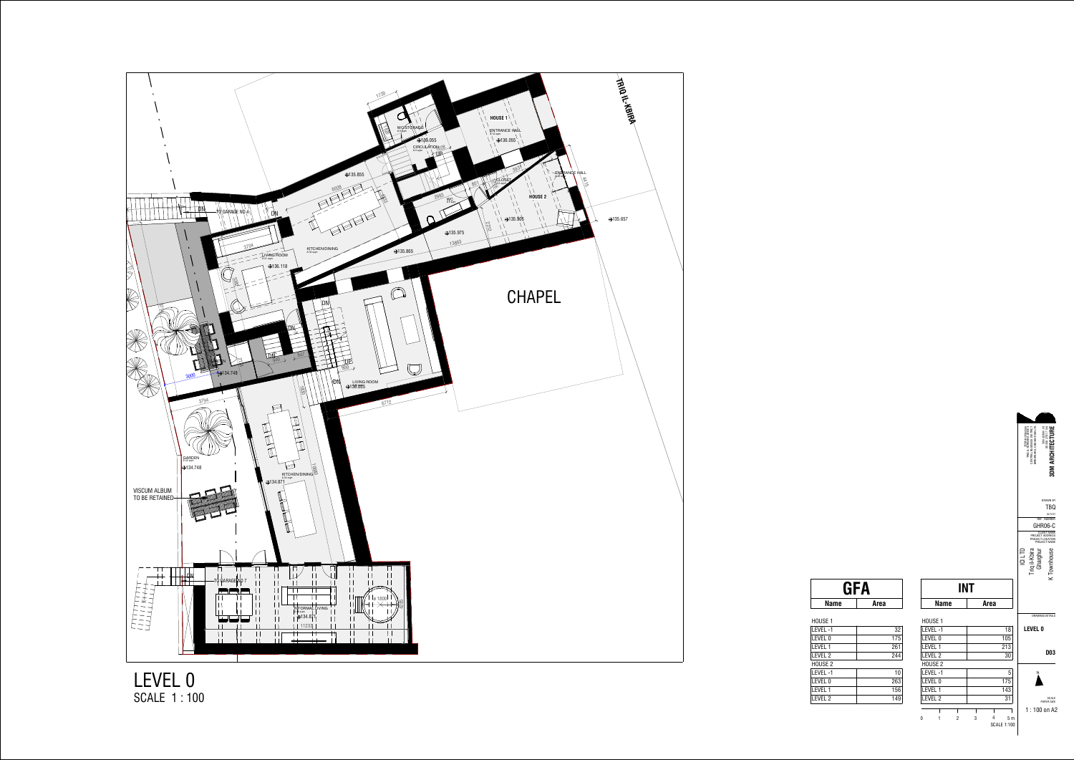DRAWING DETAILS



SCALE PAPER SIZE 1 : 100 on A2

3DM Architecture TRIQ IL-FURNARA ZONE 4 CENTRAL BUSINESS DISTRICT BIRKIRKARA, CBD4040 MALTA

THAN CROSS OF SPACE RESEARCH<br>CENTRAL BUSINESS DIRICH<br>DIRICLARA CROAGO MALT<br>BIRKIRKARA, CBD4040 MALT

DRAWN BYTBQ

**3DM ARCHITECTURE**

**3DM ARCHITECTURE** 

## **LEVEL 0**

|   | LEVEL-1            |   |   | 18                                   |
|---|--------------------|---|---|--------------------------------------|
|   | LEVEL 0            |   |   | 105                                  |
|   | IFVFI <sub>1</sub> |   |   | 213                                  |
|   | LEVEL <sub>2</sub> |   |   | 30                                   |
|   | HOUSE <sub>2</sub> |   |   |                                      |
|   | LEVEL-1            |   |   | 5                                    |
|   | LEVEL 0            |   |   | 175                                  |
|   | LEVEL 1            |   |   | 143                                  |
|   | LEVEL <sub>2</sub> |   |   | 31                                   |
|   |                    |   |   |                                      |
| n |                    | 2 | 3 | 5 <sub>m</sub><br><b>SCALE 1:100</b> |

REF . NUMBER<br>GHR06-C CLIENT NAME PROJECT ADDRESS PROJECT LOCATION PROJECT NAME ICI LTD Triq il-Kbira Gharghur K Townhouse  $\overline{K}$ 

04/12/21

**D03**

SCALE 1 : 100

|                     | GFA |  |
|---------------------|-----|--|
| <b>Name</b><br>Area |     |  |

| HOUSE 1            |     |
|--------------------|-----|
| LEVEL-1            | 32  |
| LEVEL 0            | 175 |
| LEVEL 1            | 261 |
| LEVEL 2            | 244 |
| HOUSE <sub>2</sub> |     |
| LEVEL-1            | 10  |
| LEVEL 0            | 263 |
| <b>LEVEL 1</b>     | 156 |
| LEVEL 2            | 149 |
|                    |     |

| INT     |      |  |
|---------|------|--|
| Name    | Area |  |
| HOUSE 1 |      |  |
| LEVEL-1 |      |  |
| I EVEL  |      |  |

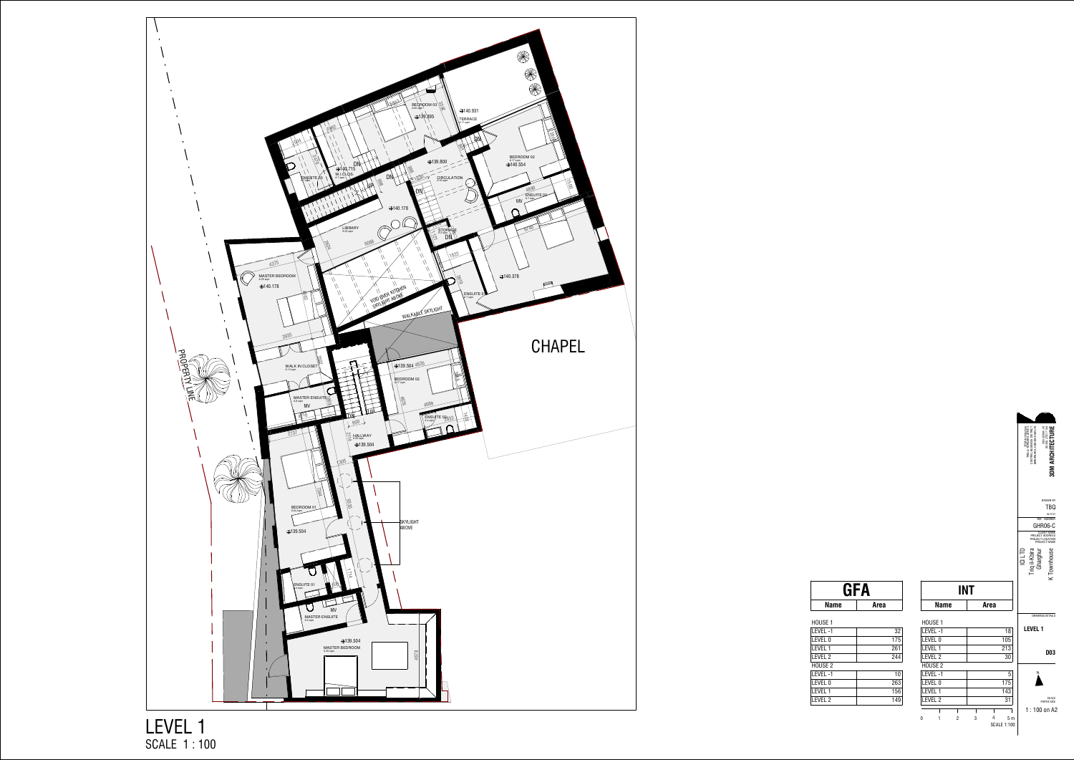

SCALE 1:100

SCALE PAPER SIZE 1 : 100 on A2



| έĠ<br>s |         | $\text{Im}$ @3dm |                                                          |
|---------|---------|------------------|----------------------------------------------------------|
|         |         |                  | <b>DRAWN BY</b><br>TBQ<br>04/12/21<br><b>REF. NUMBER</b> |
|         |         | CLIE<br>-NT      | GHR06-C<br><b>NAME</b>                                   |
|         |         |                  | PROJECT ADDRESS<br>PROJECT LOCATION<br>PROJECT NAME      |
| ï       | ć<br>ī  |                  |                                                          |
|         |         |                  |                                                          |
|         | level 1 |                  | DRAWING DETAILS                                          |
|         |         |                  | DO3                                                      |
|         | N       |                  |                                                          |

SCALE 1 : 100

| GFA         |      |
|-------------|------|
| <b>Name</b> | Area |

| HOUSE 1  |     |
|----------|-----|
| level -1 | 32  |
| LEVEL 0  | 175 |
| Level 1  | 261 |
| Level 2  | 244 |
| HOUSE 2  |     |
| level -1 | 10  |
| LEVEL 0  | 263 |
|          |     |

LEVEL 1 <sup>156</sup> LEVEL 2 <sup>149</sup>

| INT                 |  |  |  |
|---------------------|--|--|--|
| Area<br><b>Name</b> |  |  |  |
|                     |  |  |  |